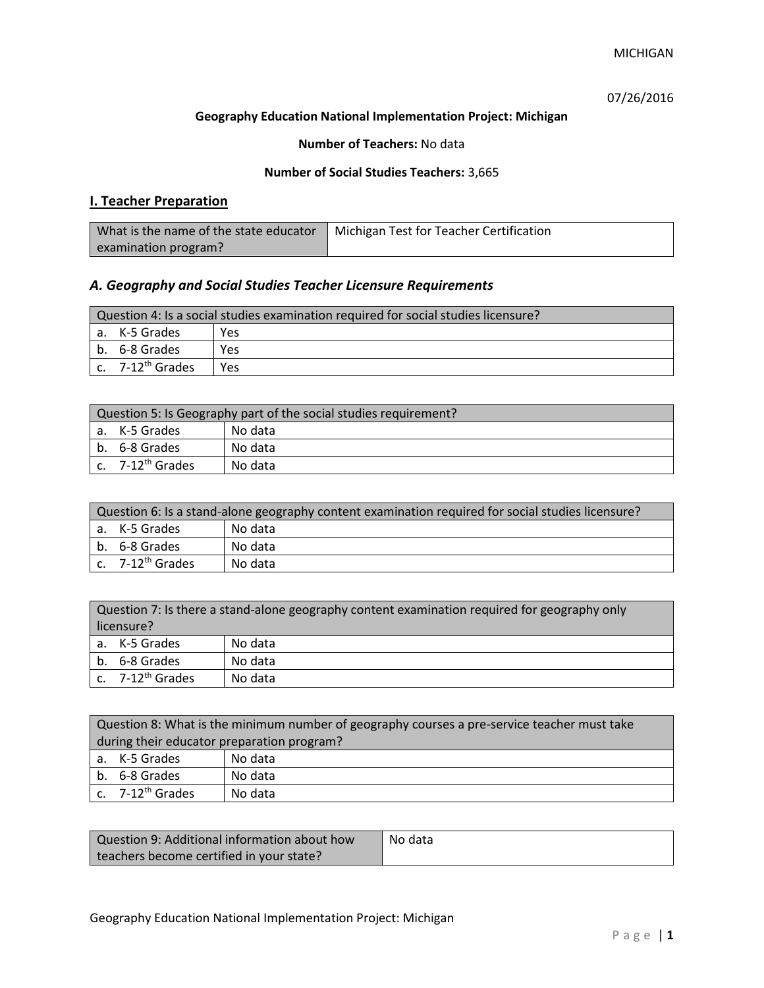07/26/2016

## **Geography Education National Implementation Project: Michigan**

**Number of Teachers:** No data

### **Number of Social Studies Teachers:** 3,665

## **I. Teacher Preparation**

| What is the name of the state educator | Michigan Test for Teacher Certification |
|----------------------------------------|-----------------------------------------|
| examination program?                   |                                         |

## *A. Geography and Social Studies Teacher Licensure Requirements*

| Question 4: Is a social studies examination required for social studies licensure? |                              |     |
|------------------------------------------------------------------------------------|------------------------------|-----|
|                                                                                    | a. K-5 Grades                | Yes |
|                                                                                    | b. 6-8 Grades                | Yes |
|                                                                                    | c. 7-12 <sup>th</sup> Grades | Yes |

| Question 5: Is Geography part of the social studies requirement? |                              |         |
|------------------------------------------------------------------|------------------------------|---------|
|                                                                  | l a. K-5 Grades              | No data |
|                                                                  | b. 6-8 Grades                | No data |
|                                                                  | c. 7-12 <sup>th</sup> Grades | No data |

| Question 6: Is a stand-alone geography content examination required for social studies licensure? |                                |         |  |
|---------------------------------------------------------------------------------------------------|--------------------------------|---------|--|
|                                                                                                   | a. K-5 Grades                  | No data |  |
|                                                                                                   | b. 6-8 Grades                  | No data |  |
|                                                                                                   | $c.$ 7-12 <sup>th</sup> Grades | No data |  |

| Question 7: Is there a stand-alone geography content examination required for geography only |                              |         |
|----------------------------------------------------------------------------------------------|------------------------------|---------|
| licensure?                                                                                   |                              |         |
|                                                                                              | a. K-5 Grades                | No data |
|                                                                                              | b. 6-8 Grades                | No data |
|                                                                                              | c. 7-12 <sup>th</sup> Grades | No data |

|                                            | Question 8: What is the minimum number of geography courses a pre-service teacher must take |         |  |
|--------------------------------------------|---------------------------------------------------------------------------------------------|---------|--|
| during their educator preparation program? |                                                                                             |         |  |
|                                            | a. K-5 Grades                                                                               | No data |  |
|                                            | b. 6-8 Grades                                                                               | No data |  |
|                                            | c. $7-12^{th}$ Grades                                                                       | No data |  |

| Question 9: Additional information about how | No data |
|----------------------------------------------|---------|
| teachers become certified in your state?     |         |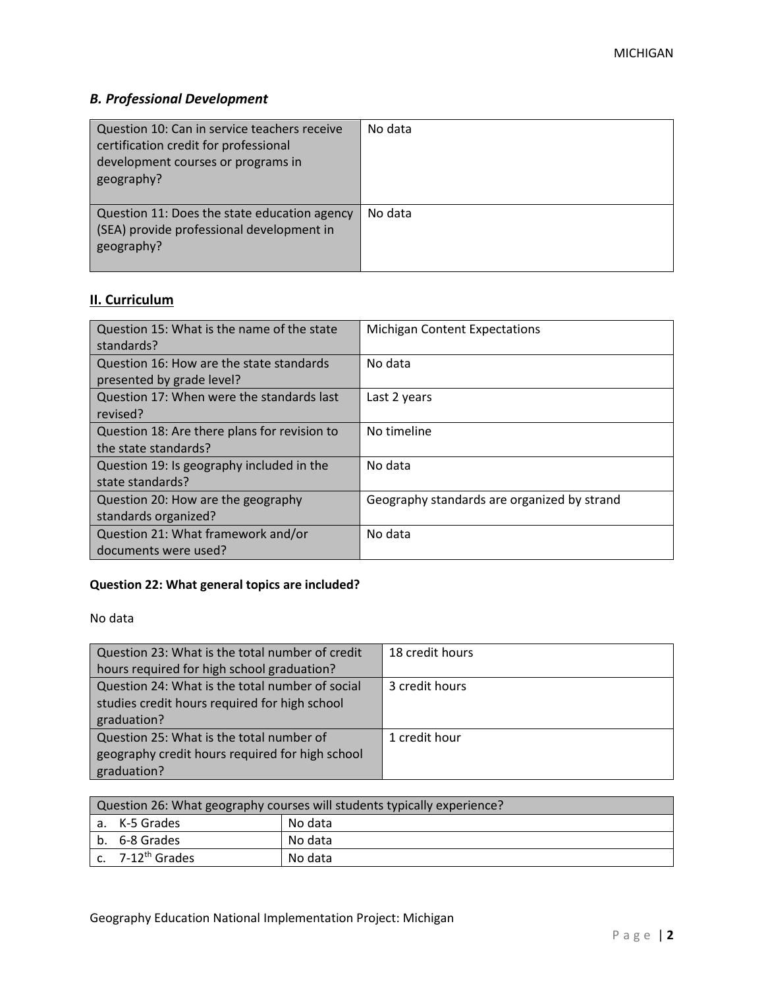# *B. Professional Development*

| Question 10: Can in service teachers receive<br>certification credit for professional<br>development courses or programs in<br>geography? | No data |
|-------------------------------------------------------------------------------------------------------------------------------------------|---------|
| Question 11: Does the state education agency<br>(SEA) provide professional development in<br>geography?                                   | No data |

# **II. Curriculum**

| Question 15: What is the name of the state<br>standards?              | <b>Michigan Content Expectations</b>        |
|-----------------------------------------------------------------------|---------------------------------------------|
| Question 16: How are the state standards<br>presented by grade level? | No data                                     |
| Question 17: When were the standards last<br>revised?                 | Last 2 years                                |
| Question 18: Are there plans for revision to<br>the state standards?  | No timeline                                 |
| Question 19: Is geography included in the<br>state standards?         | No data                                     |
| Question 20: How are the geography<br>standards organized?            | Geography standards are organized by strand |
| Question 21: What framework and/or<br>documents were used?            | No data                                     |

# **Question 22: What general topics are included?**

No data

| Question 23: What is the total number of credit | 18 credit hours |
|-------------------------------------------------|-----------------|
| hours required for high school graduation?      |                 |
| Question 24: What is the total number of social | 3 credit hours  |
| studies credit hours required for high school   |                 |
| graduation?                                     |                 |
| Question 25: What is the total number of        | 1 credit hour   |
| geography credit hours required for high school |                 |
| graduation?                                     |                 |

| Question 26: What geography courses will students typically experience? |                              |         |
|-------------------------------------------------------------------------|------------------------------|---------|
|                                                                         | a. K-5 Grades                | No data |
|                                                                         | b. 6-8 Grades                | No data |
|                                                                         | c. 7-12 <sup>th</sup> Grades | No data |